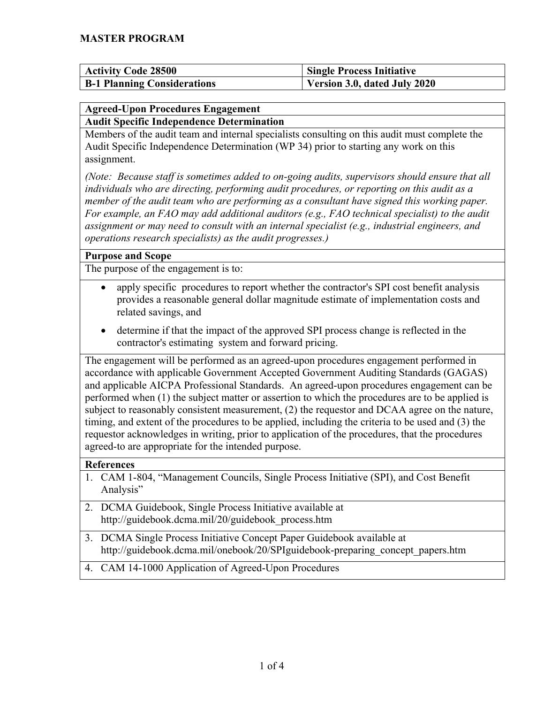| <b>Activity Code 28500</b>         | <b>Single Process Initiative</b> |
|------------------------------------|----------------------------------|
| <b>B-1 Planning Considerations</b> | Version 3.0, dated July 2020     |

## <span id="page-0-0"></span>**Agreed-Upon Procedures Engagement**

**Audit Specific Independence Determination**

Members of the audit team and internal specialists consulting on this audit must complete the Audit Specific Independence Determination (WP 34) prior to starting any work on this assignment.

*(Note: Because staff is sometimes added to on-going audits, supervisors should ensure that all individuals who are directing, performing audit procedures, or reporting on this audit as a member of the audit team who are performing as a consultant have signed this working paper. For example, an FAO may add additional auditors (e.g., FAO technical specialist) to the audit assignment or may need to consult with an internal specialist (e.g., industrial engineers, and operations research specialists) as the audit progresses.)*

## **Purpose and Scope**

The purpose of the engagement is to:

- apply specific procedures to report whether the contractor's SPI cost benefit analysis provides a reasonable general dollar magnitude estimate of implementation costs and related savings, and
- determine if that the impact of the approved SPI process change is reflected in the contractor's estimating system and forward pricing.

The engagement will be performed as an agreed-upon procedures engagement performed in accordance with applicable Government Accepted Government Auditing Standards (GAGAS) and applicable AICPA Professional Standards. An agreed-upon procedures engagement can be performed when (1) the subject matter or assertion to which the procedures are to be applied is subject to reasonably consistent measurement, (2) the requestor and DCAA agree on the nature, timing, and extent of the procedures to be applied, including the criteria to be used and (3) the requestor acknowledges in writing, prior to application of the procedures, that the procedures agreed-to are appropriate for the intended purpose.

## **References**

- 1. CAM 1-804, "Management Councils, Single Process Initiative (SPI), and Cost Benefit Analysis"
- 2. DCMA Guidebook, Single Process Initiative available at http://guidebook.dcma.mil/20/guidebook\_process.htm
- 3. DCMA Single Process Initiative Concept Paper Guidebook available at http://guidebook.dcma.mil/onebook/20/SPIguidebook-preparing\_concept\_papers.htm
- 4. CAM 14-1000 Application of Agreed-Upon Procedures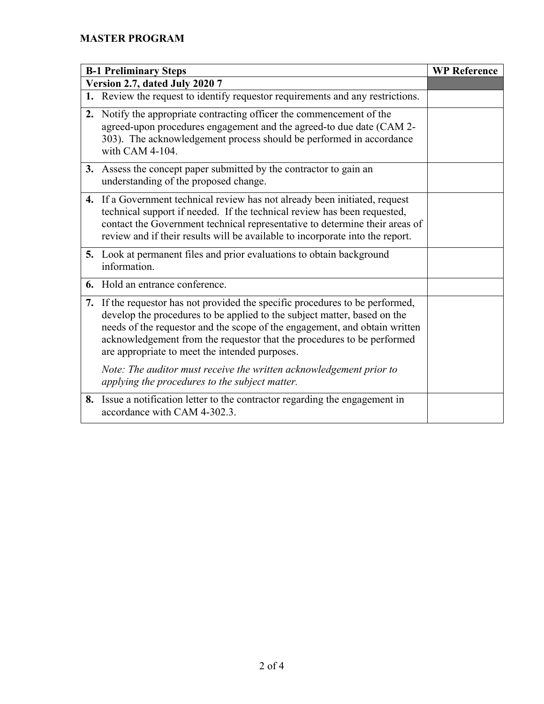| <b>B-1 Preliminary Steps</b>   |                                                                                                                                                                                                                                                                                                                                                                     | <b>WP Reference</b> |
|--------------------------------|---------------------------------------------------------------------------------------------------------------------------------------------------------------------------------------------------------------------------------------------------------------------------------------------------------------------------------------------------------------------|---------------------|
| Version 2.7, dated July 2020 7 |                                                                                                                                                                                                                                                                                                                                                                     |                     |
|                                | 1. Review the request to identify requestor requirements and any restrictions.                                                                                                                                                                                                                                                                                      |                     |
| 2.                             | Notify the appropriate contracting officer the commencement of the<br>agreed-upon procedures engagement and the agreed-to due date (CAM 2-<br>303). The acknowledgement process should be performed in accordance<br>with CAM 4-104.                                                                                                                                |                     |
|                                | 3. Assess the concept paper submitted by the contractor to gain an<br>understanding of the proposed change.                                                                                                                                                                                                                                                         |                     |
|                                | 4. If a Government technical review has not already been initiated, request<br>technical support if needed. If the technical review has been requested,<br>contact the Government technical representative to determine their areas of<br>review and if their results will be available to incorporate into the report.                                             |                     |
|                                | 5. Look at permanent files and prior evaluations to obtain background<br>information.                                                                                                                                                                                                                                                                               |                     |
|                                | 6. Hold an entrance conference.                                                                                                                                                                                                                                                                                                                                     |                     |
|                                | 7. If the requestor has not provided the specific procedures to be performed,<br>develop the procedures to be applied to the subject matter, based on the<br>needs of the requestor and the scope of the engagement, and obtain written<br>acknowledgement from the requestor that the procedures to be performed<br>are appropriate to meet the intended purposes. |                     |
|                                | Note: The auditor must receive the written acknowledgement prior to<br>applying the procedures to the subject matter.                                                                                                                                                                                                                                               |                     |
|                                | 8. Issue a notification letter to the contractor regarding the engagement in<br>accordance with CAM 4-302.3.                                                                                                                                                                                                                                                        |                     |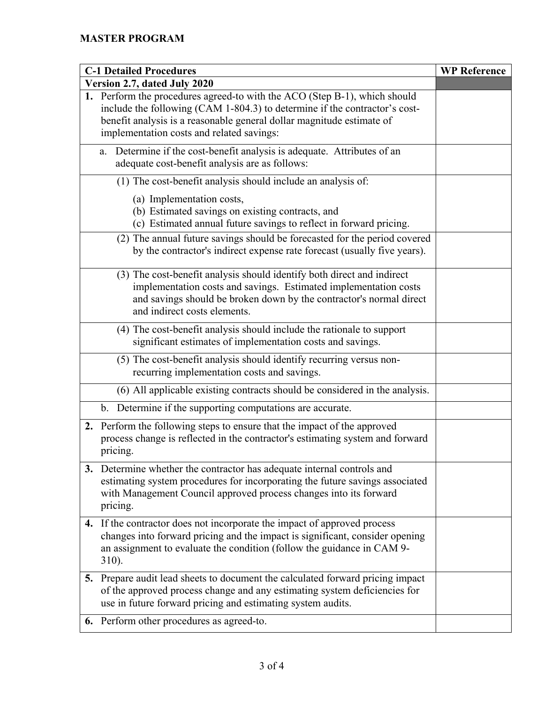| <b>C-1 Detailed Procedures</b> |                                                                                                                                                                                                                                                                               | <b>WP Reference</b> |
|--------------------------------|-------------------------------------------------------------------------------------------------------------------------------------------------------------------------------------------------------------------------------------------------------------------------------|---------------------|
| Version 2.7, dated July 2020   |                                                                                                                                                                                                                                                                               |                     |
|                                | 1. Perform the procedures agreed-to with the ACO (Step B-1), which should<br>include the following (CAM 1-804.3) to determine if the contractor's cost-<br>benefit analysis is a reasonable general dollar magnitude estimate of<br>implementation costs and related savings: |                     |
|                                | Determine if the cost-benefit analysis is adequate. Attributes of an<br>a.<br>adequate cost-benefit analysis are as follows:                                                                                                                                                  |                     |
|                                | (1) The cost-benefit analysis should include an analysis of:                                                                                                                                                                                                                  |                     |
|                                | (a) Implementation costs,<br>(b) Estimated savings on existing contracts, and<br>(c) Estimated annual future savings to reflect in forward pricing.                                                                                                                           |                     |
|                                | (2) The annual future savings should be forecasted for the period covered<br>by the contractor's indirect expense rate forecast (usually five years).                                                                                                                         |                     |
|                                | (3) The cost-benefit analysis should identify both direct and indirect<br>implementation costs and savings. Estimated implementation costs<br>and savings should be broken down by the contractor's normal direct<br>and indirect costs elements.                             |                     |
|                                | (4) The cost-benefit analysis should include the rationale to support<br>significant estimates of implementation costs and savings.                                                                                                                                           |                     |
|                                | (5) The cost-benefit analysis should identify recurring versus non-<br>recurring implementation costs and savings.                                                                                                                                                            |                     |
|                                | (6) All applicable existing contracts should be considered in the analysis.                                                                                                                                                                                                   |                     |
|                                | b. Determine if the supporting computations are accurate.                                                                                                                                                                                                                     |                     |
|                                | 2. Perform the following steps to ensure that the impact of the approved<br>process change is reflected in the contractor's estimating system and forward<br>pricing.                                                                                                         |                     |
|                                | 3. Determine whether the contractor has adequate internal controls and<br>estimating system procedures for incorporating the future savings associated<br>with Management Council approved process changes into its forward<br>pricing.                                       |                     |
| 4.                             | If the contractor does not incorporate the impact of approved process<br>changes into forward pricing and the impact is significant, consider opening<br>an assignment to evaluate the condition (follow the guidance in CAM 9-<br>310).                                      |                     |
|                                | 5. Prepare audit lead sheets to document the calculated forward pricing impact<br>of the approved process change and any estimating system deficiencies for<br>use in future forward pricing and estimating system audits.                                                    |                     |
|                                | 6. Perform other procedures as agreed-to.                                                                                                                                                                                                                                     |                     |